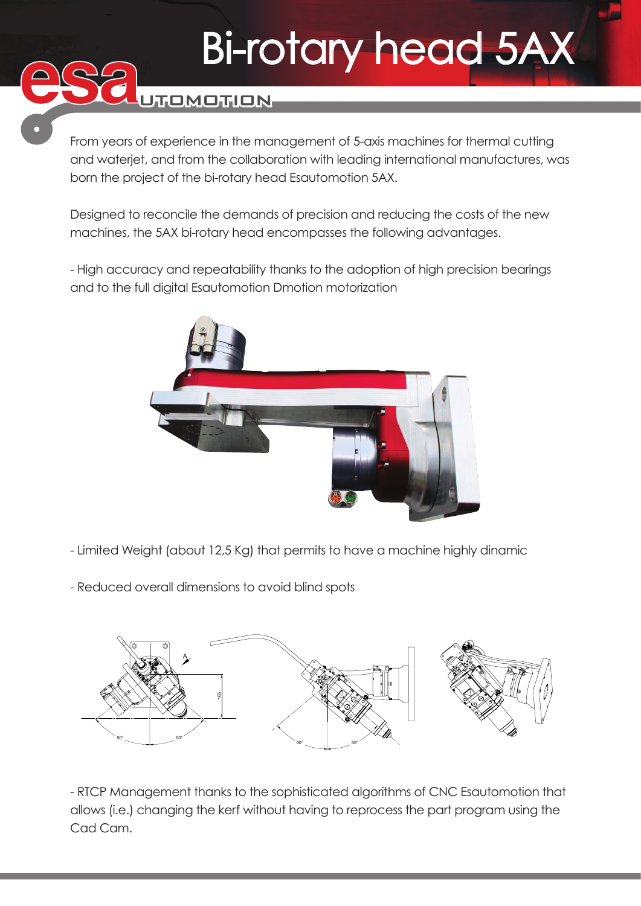## Bi-rotary head 5AX

UTOMOTION

From years of experience in the management of 5-axis machines for thermal cutting and waterjet, and from the collaboration with leading international manufactures, was born the project of the bi-rotary head Esautomotion 5AX.

Designed to reconcile the demands of precision and reducing the costs of the new machines, the 5AX bi-rotary head encompasses the following advantages.

- High accuracy and repeatability thanks to the adoption of high precision bearings and to the full digital Esautomotion Dmotion motorization



- Limited Weight (about 12,5 Kg) that permits to have a machine highly dinamic
- Reduced overall dimensions to avoid blind spots



- RTCP Management thanks to the sophisticated algorithms of CNC Esautomotion that allows (i.e.) changing the kerf without having to reprocess the part program using the Cad Cam.